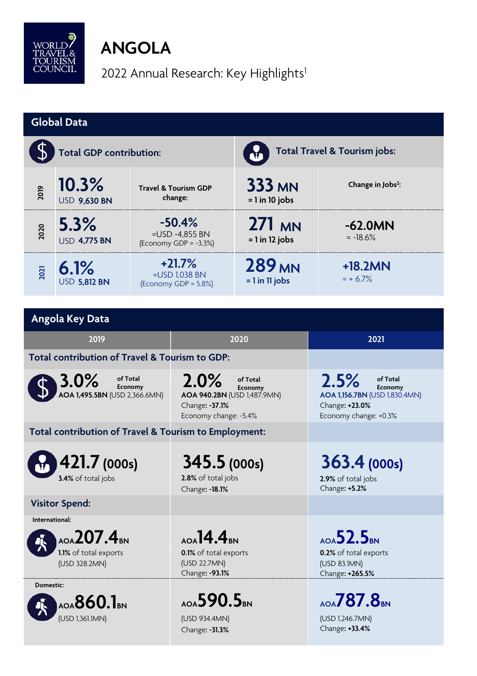

# **ANGOLA**

2022 Annual Research: Key Highlights<sup>1</sup>

| <b>Global Data</b>                                                     |                              |                                                        |                                                                                                       |                                                          |                                                                                                         |  |  |  |
|------------------------------------------------------------------------|------------------------------|--------------------------------------------------------|-------------------------------------------------------------------------------------------------------|----------------------------------------------------------|---------------------------------------------------------------------------------------------------------|--|--|--|
|                                                                        | Total GDP contribution:      |                                                        |                                                                                                       | Total Travel & Tourism jobs:                             |                                                                                                         |  |  |  |
| 2019                                                                   | 10.3%<br><b>USD 9,630 BN</b> | <b>Travel &amp; Tourism GDP</b><br>change:             |                                                                                                       | <b>333 MN</b><br>$= 1$ in 10 jobs                        | Change in Jobs <sup>2</sup> :                                                                           |  |  |  |
| 2020                                                                   | 5.3%<br><b>USD 4,775 BN</b>  | $-50.4%$<br>=USD -4,855 BN<br>(Economy GDP = $-3.3%$ ) |                                                                                                       | 271 MN<br>$= 1$ in 12 jobs                               | $-62.0MN$<br>$= -18.6%$                                                                                 |  |  |  |
| 2021                                                                   | 6.1%<br><b>USD 5,812 BN</b>  | $+21.7%$<br>$=$ USD 1,038 BN<br>(Economy GDP = 5.8%)   |                                                                                                       | <b>289 MN</b><br>$= 1$ in 11 jobs                        | $+18.2MN$<br>$= + 6.7\%$                                                                                |  |  |  |
| Angola Key Data                                                        |                              |                                                        |                                                                                                       |                                                          |                                                                                                         |  |  |  |
| 2019                                                                   |                              |                                                        | 2020                                                                                                  |                                                          | 2021                                                                                                    |  |  |  |
| Total contribution of Travel & Tourism to GDP:                         |                              |                                                        |                                                                                                       |                                                          |                                                                                                         |  |  |  |
| $3.0\%$<br>of Total<br>Economy<br>AOA 1,495.5BN (USD 2,366.6MN)        |                              |                                                        | 2.0%<br>of Total<br>Economy<br>AOA 940.2BN (USD 1,487.9MN)<br>Change: -37.1%<br>Economy change: -5.4% |                                                          | 2.5%<br>of Total<br>Economy<br>AOA 1,156.7BN (USD 1,830.4MN)<br>Change: +23.0%<br>Economy change: +0.3% |  |  |  |
| Total contribution of Travel & Tourism to Employment:                  |                              |                                                        |                                                                                                       |                                                          |                                                                                                         |  |  |  |
| 421.7 (000s)<br>3.4% of total jobs                                     |                              |                                                        | 345.5 (000s)<br>2.8% of total jobs<br>Change: - 18.1%                                                 |                                                          | 363.4 (000s)<br>2.9% of total jobs<br>Change: +5.2%                                                     |  |  |  |
|                                                                        | <b>Visitor Spend:</b>        |                                                        |                                                                                                       |                                                          |                                                                                                         |  |  |  |
| International:<br>AOA207.4BN<br>1.1% of total exports<br>(USD 328.2MN) |                              |                                                        | $_{AOA}$ 14.4 $_{BN}$<br>0.1% of total exports<br>(USD 22.7MN)<br>Change: -93.1%                      |                                                          | $_{AOA}$ 52.5 $_{BN}$<br>0.2% of total exports<br>(USD 83.1MN)<br>Change: +265.5%                       |  |  |  |
| Domestic:<br>AOA $860.1$ BN<br>(USD 1,361.1MN)                         |                              | AOA590.5BN<br>(USD 934.4MN)<br>Change: -31.3%          |                                                                                                       | AOA <b>787.8</b> BN<br>(USD 1,246.7MN)<br>Change: +33.4% |                                                                                                         |  |  |  |